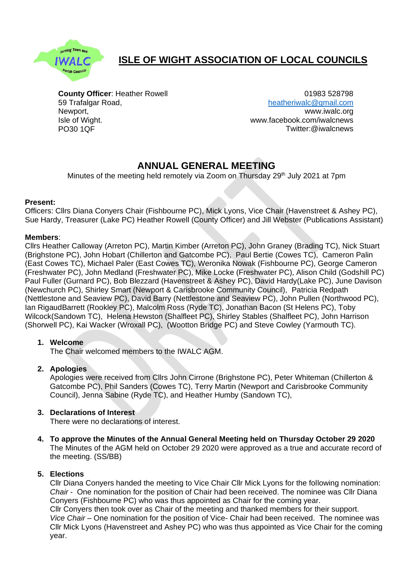

# **ISLE OF WIGHT ASSOCIATION OF LOCAL COUNCILS**

**County Officer**: Heather Rowell 59 Trafalgar Road, Newport, Isle of Wight. PO30 1QF

01983 528798 [heatheriwalc@gmail.com](mailto:heatheriwalc@gmail.com) [www.iwalc.org](http://www.iwalc.org/) [www.facebook.com/iwalcnews](http://www.facebook.com/iwalcnews) Twitter:@iwalcnews

## **ANNUAL GENERAL MEETING**

Minutes of the meeting held remotely via Zoom on Thursday 29<sup>th</sup> July 2021 at 7pm

#### **Present:**

Officers: Cllrs Diana Conyers Chair (Fishbourne PC), Mick Lyons, Vice Chair (Havenstreet & Ashey PC), Sue Hardy, Treasurer (Lake PC) Heather Rowell (County Officer) and Jill Webster (Publications Assistant)

#### **Members**:

Cllrs Heather Calloway (Arreton PC), Martin Kimber (Arreton PC), John Graney (Brading TC), Nick Stuart (Brighstone PC), John Hobart (Chillerton and Gatcombe PC), Paul Bertie (Cowes TC), Cameron Palin (East Cowes TC), Michael Paler (East Cowes TC), Weronika Nowak (Fishbourne PC), George Cameron (Freshwater PC), John Medland (Freshwater PC), Mike Locke (Freshwater PC), Alison Child (Godshill PC) Paul Fuller (Gurnard PC), Bob Blezzard (Havenstreet & Ashey PC), David Hardy(Lake PC), June Davison (Newchurch PC), Shirley Smart (Newport & Carisbrooke Community Council), Patricia Redpath (Nettlestone and Seaview PC), David Barry (Nettlestone and Seaview PC), John Pullen (Northwood PC), Ian RigaudBarrett (Rookley PC), Malcolm Ross (Ryde TC), Jonathan Bacon (St Helens PC), Toby Wilcock(Sandown TC), Helena Hewston (Shalfleet PC), Shirley Stables (Shalfleet PC), John Harrison (Shorwell PC), Kai Wacker (Wroxall PC), (Wootton Bridge PC) and Steve Cowley (Yarmouth TC).

## **1. Welcome**

The Chair welcomed members to the IWALC AGM.

## **2. Apologies**

Apologies were received from Cllrs John Cirrone (Brighstone PC), Peter Whiteman (Chillerton & Gatcombe PC), Phil Sanders (Cowes TC), Terry Martin (Newport and Carisbrooke Community Council), Jenna Sabine (Ryde TC), and Heather Humby (Sandown TC),

## **3. Declarations of Interest**

There were no declarations of interest.

**4. To approve the Minutes of the Annual General Meeting held on Thursday October 29 2020** The Minutes of the AGM held on October 29 2020 were approved as a true and accurate record of the meeting. (SS/BB)

## **5. Elections**

Cllr Diana Conyers handed the meeting to Vice Chair Cllr Mick Lyons for the following nomination: *Chair* - One nomination for the position of Chair had been received. The nominee was Cllr Diana Conyers (Fishbourne PC) who was thus appointed as Chair for the coming year. Cllr Conyers then took over as Chair of the meeting and thanked members for their support. *Vice Chair* – One nomination for the position of Vice- Chair had been received. The nominee was Cllr Mick Lyons (Havenstreet and Ashey PC) who was thus appointed as Vice Chair for the coming year.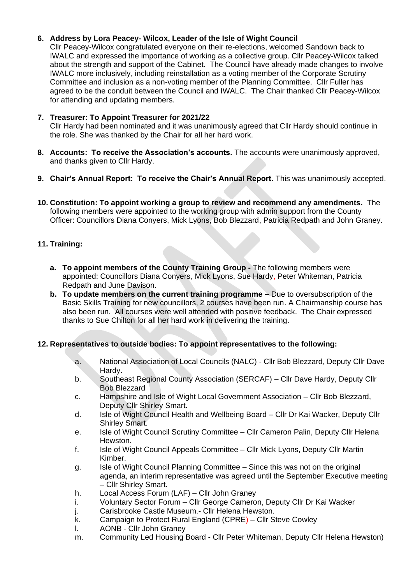#### **6. Address by Lora Peacey- Wilcox, Leader of the Isle of Wight Council**

Cllr Peacey-Wilcox congratulated everyone on their re-elections, welcomed Sandown back to IWALC and expressed the importance of working as a collective group. Cllr Peacey-Wilcox talked about the strength and support of the Cabinet. The Council have already made changes to involve IWALC more inclusively, including reinstallation as a voting member of the Corporate Scrutiny Committee and inclusion as a non-voting member of the Planning Committee. Cllr Fuller has agreed to be the conduit between the Council and IWALC. The Chair thanked Cllr Peacey-Wilcox for attending and updating members.

#### **7. Treasurer: To Appoint Treasurer for 2021/22**

Cllr Hardy had been nominated and it was unanimously agreed that Cllr Hardy should continue in the role. She was thanked by the Chair for all her hard work.

- **8. Accounts: To receive the Association's accounts.** The accounts were unanimously approved, and thanks given to Cllr Hardy.
- **9. Chair's Annual Report: To receive the Chair's Annual Report.** This was unanimously accepted.
- **10. Constitution: To appoint working a group to review and recommend any amendments.** The following members were appointed to the working group with admin support from the County Officer: Councillors Diana Conyers, Mick Lyons, Bob Blezzard, Patricia Redpath and John Graney.

#### **11. Training:**

- **a. To appoint members of the County Training Group -** The following members were appointed: Councillors Diana Conyers, Mick Lyons, Sue Hardy, Peter Whiteman, Patricia Redpath and June Davison.
- **b. To update members on the current training programme –** Due to oversubscription of the Basic Skills Training for new councillors, 2 courses have been run. A Chairmanship course has also been run. All courses were well attended with positive feedback. The Chair expressed thanks to Sue Chilton for all her hard work in delivering the training.

#### **12. Representatives to outside bodies: To appoint representatives to the following:**

- a. National Association of Local Councils (NALC) Cllr Bob Blezzard, Deputy Cllr Dave Hardy.
- b. Southeast Regional County Association (SERCAF) Cllr Dave Hardy, Deputy Cllr Bob Blezzard
- c. Hampshire and Isle of Wight Local Government Association Cllr Bob Blezzard, Deputy Cllr Shirley Smart.
- d. Isle of Wight Council Health and Wellbeing Board Cllr Dr Kai Wacker, Deputy Cllr Shirley Smart.
- e. Isle of Wight Council Scrutiny Committee Cllr Cameron Palin, Deputy Cllr Helena Hewston.
- f. Isle of Wight Council Appeals Committee Cllr Mick Lyons, Deputy Cllr Martin Kimber.
- g. Isle of Wight Council Planning Committee Since this was not on the original agenda, an interim representative was agreed until the September Executive meeting – Cllr Shirley Smart.
- h. Local Access Forum (LAF) Cllr John Graney
- i. Voluntary Sector Forum Cllr George Cameron, Deputy Cllr Dr Kai Wacker
- j. Carisbrooke Castle Museum.- Cllr Helena Hewston.
- k. Campaign to Protect Rural England (CPRE) Cllr Steve Cowley
- l. AONB Cllr John Graney
- m. Community Led Housing Board Cllr Peter Whiteman, Deputy Cllr Helena Hewston)